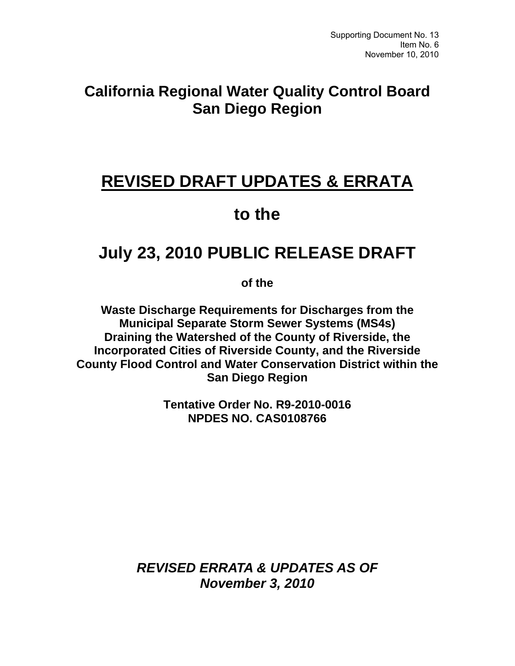## **California Regional Water Quality Control Board San Diego Region**

# **REVISED DRAFT UPDATES & ERRATA**

## **to the**

# **July 23, 2010 PUBLIC RELEASE DRAFT**

**of the** 

**Waste Discharge Requirements for Discharges from the Municipal Separate Storm Sewer Systems (MS4s) Draining the Watershed of the County of Riverside, the Incorporated Cities of Riverside County, and the Riverside County Flood Control and Water Conservation District within the San Diego Region** 

> **Tentative Order No. R9-2010-0016 NPDES NO. CAS0108766**

*REVISED ERRATA & UPDATES AS OF November 3, 2010*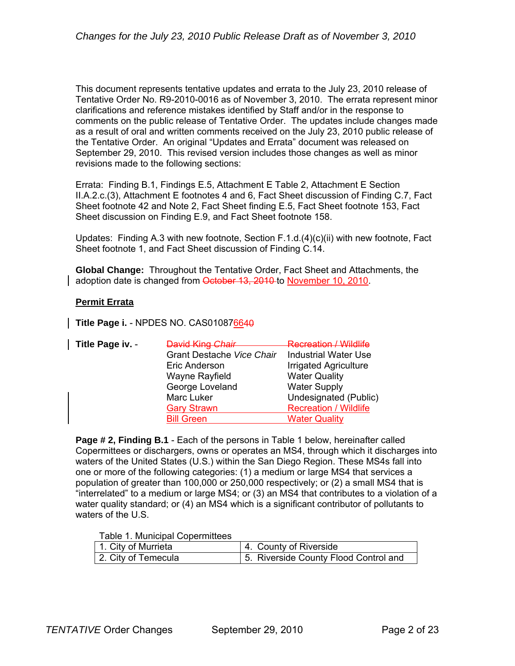This document represents tentative updates and errata to the July 23, 2010 release of Tentative Order No. R9-2010-0016 as of November 3, 2010. The errata represent minor clarifications and reference mistakes identified by Staff and/or in the response to comments on the public release of Tentative Order. The updates include changes made as a result of oral and written comments received on the July 23, 2010 public release of the Tentative Order. An original "Updates and Errata" document was released on September 29, 2010. This revised version includes those changes as well as minor revisions made to the following sections:

Errata: Finding B.1, Findings E.5, Attachment E Table 2, Attachment E Section II.A.2.c.(3), Attachment E footnotes 4 and 6, Fact Sheet discussion of Finding C.7, Fact Sheet footnote 42 and Note 2, Fact Sheet finding E.5, Fact Sheet footnote 153, Fact Sheet discussion on Finding E.9, and Fact Sheet footnote 158.

Updates: Finding A.3 with new footnote, Section F.1.d.(4)(c)(ii) with new footnote, Fact Sheet footnote 1, and Fact Sheet discussion of Finding C.14.

**Global Change:** Throughout the Tentative Order, Fact Sheet and Attachments, the adoption date is changed from October 13, 2010 to November 10, 2010.

### **Permit Errata**

**Title Page i. - NPDES NO. CAS010876640** 

| Title Page iv. - | David King Chair          | <b>Recreation / Wildlife</b> |
|------------------|---------------------------|------------------------------|
|                  | Grant Destache Vice Chair | <b>Industrial Water Use</b>  |
|                  | Eric Anderson             | Irrigated Agriculture        |
|                  | Wayne Rayfield            | <b>Water Quality</b>         |
|                  | George Loveland           | <b>Water Supply</b>          |
|                  | Marc Luker                | Undesignated (Public)        |
|                  | <b>Gary Strawn</b>        | <b>Recreation / Wildlife</b> |
|                  | <b>Bill Green</b>         | <b>Water Quality</b>         |

**Page # 2, Finding B.1** - Each of the persons in Table 1 below, hereinafter called Copermittees or dischargers, owns or operates an MS4, through which it discharges into waters of the United States (U.S.) within the San Diego Region. These MS4s fall into one or more of the following categories: (1) a medium or large MS4 that services a population of greater than 100,000 or 250,000 respectively; or (2) a small MS4 that is "interrelated" to a medium or large MS4; or (3) an MS4 that contributes to a violation of a water quality standard; or (4) an MS4 which is a significant contributor of pollutants to waters of the U.S.

Table 1. Municipal Copermittees

| 1. City of Murrieta | 4. County of Riverside                |
|---------------------|---------------------------------------|
| 2. City of Temecula | 5. Riverside County Flood Control and |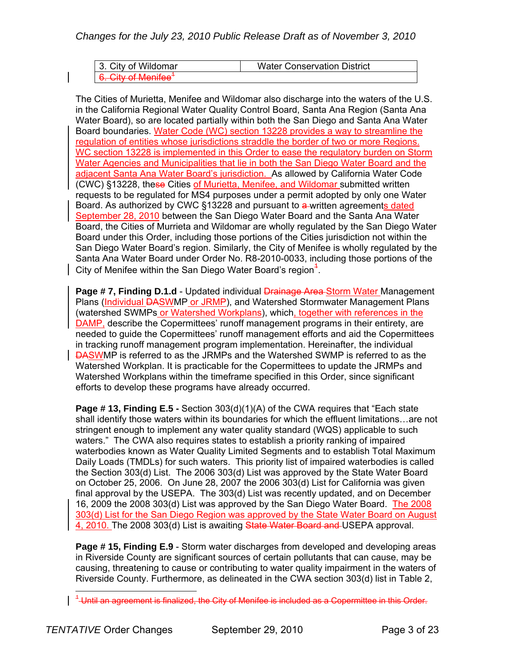*Changes for the July 23, 2010 Public Release Draft as of November 3, 2010* 

| 3. City of Wildomar                                              | <b>Water Conservation District</b> |
|------------------------------------------------------------------|------------------------------------|
| <sup>+</sup> A City of Manifag<br><del>u. Uny ul ivichiice</del> |                                    |

The Cities of Murietta, Menifee and Wildomar also discharge into the waters of the U.S. in the California Regional Water Quality Control Board, Santa Ana Region (Santa Ana Water Board), so are located partially within both the San Diego and Santa Ana Water Board boundaries. Water Code (WC) section 13228 provides a way to streamline the regulation of entities whose jurisdictions straddle the border of two or more Regions. WC section 13228 is implemented in this Order to ease the regulatory burden on Storm Water Agencies and Municipalities that lie in both the San Diego Water Board and the adjacent Santa Ana Water Board's jurisdiction. As allowed by California Water Code (CWC) §13228, these Cities of Murietta, Menifee, and Wildomar submitted written requests to be regulated for MS4 purposes under a permit adopted by only one Water Board. As authorized by CWC §13228 and pursuant to a written agreements dated September 28, 2010 between the San Diego Water Board and the Santa Ana Water Board, the Cities of Murrieta and Wildomar are wholly regulated by the San Diego Water Board under this Order, including those portions of the Cities jurisdiction not within the San Diego Water Board's region. Similarly, the City of Menifee is wholly regulated by the Santa Ana Water Board under Order No. R8-2010-0033, including those portions of the City of Menifee within the San Diego Water Board's region $<sup>4</sup>$ .</sup>

**Page # 7, Finding D.1.d - Updated individual** *Drainage Area Storm Water Management* Plans (Individual DASWMP or JRMP), and Watershed Stormwater Management Plans (watershed SWMPs or Watershed Workplans), which, together with references in the DAMP, describe the Copermittees' runoff management programs in their entirety, are needed to guide the Copermittees' runoff management efforts and aid the Copermittees in tracking runoff management program implementation. Hereinafter, the individual DASWMP is referred to as the JRMPs and the Watershed SWMP is referred to as the Watershed Workplan. It is practicable for the Copermittees to update the JRMPs and Watershed Workplans within the timeframe specified in this Order, since significant efforts to develop these programs have already occurred.

**Page # 13, Finding E.5 -** Section 303(d)(1)(A) of the CWA requires that "Each state shall identify those waters within its boundaries for which the effluent limitations…are not stringent enough to implement any water quality standard (WQS) applicable to such waters." The CWA also requires states to establish a priority ranking of impaired waterbodies known as Water Quality Limited Segments and to establish Total Maximum Daily Loads (TMDLs) for such waters. This priority list of impaired waterbodies is called the Section 303(d) List. The 2006 303(d) List was approved by the State Water Board on October 25, 2006. On June 28, 2007 the 2006 303(d) List for California was given final approval by the USEPA. The 303(d) List was recently updated, and on December 16, 2009 the 2008 303(d) List was approved by the San Diego Water Board. The 2008 303(d) List for the San Diego Region was approved by the State Water Board on August 4, 2010. The 2008 303(d) List is awaiting State Water Board and USEPA approval.

**Page # 15, Finding E.9** - Storm water discharges from developed and developing areas in Riverside County are significant sources of certain pollutants that can cause, may be causing, threatening to cause or contributing to water quality impairment in the waters of Riverside County. Furthermore, as delineated in the CWA section 303(d) list in Table 2,

 $\overline{a}$ 

 $^{\rm 4}$ Until an agreement is finalized, the City of Menifee is included as a Copermittee in this Order.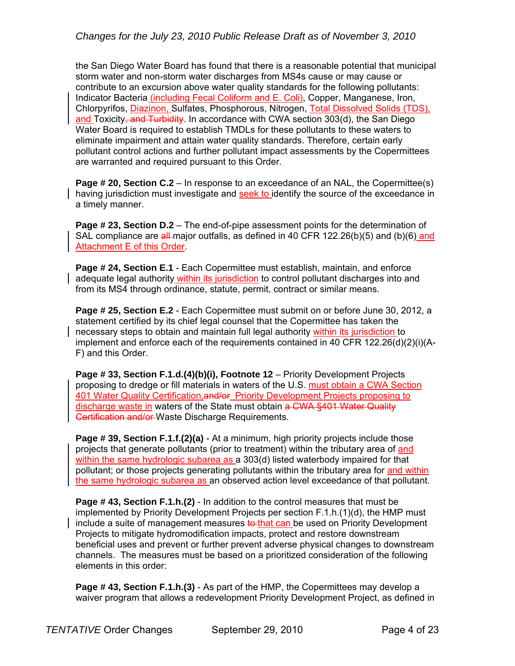the San Diego Water Board has found that there is a reasonable potential that municipal storm water and non-storm water discharges from MS4s cause or may cause or contribute to an excursion above water quality standards for the following pollutants: Indicator Bacteria (including Fecal Coliform and E. Coli), Copper, Manganese, Iron, Chlorpyrifos, Diazinon, Sulfates, Phosphorous, Nitrogen, Total Dissolved Solids (TDS), and Toxicity, and Turbidity. In accordance with CWA section  $303(d)$ , the San Diego Water Board is required to establish TMDLs for these pollutants to these waters to eliminate impairment and attain water quality standards. Therefore, certain early pollutant control actions and further pollutant impact assessments by the Copermittees are warranted and required pursuant to this Order.

**Page # 20, Section C.2** – In response to an exceedance of an NAL, the Copermittee(s) having jurisdiction must investigate and seek to identify the source of the exceedance in a timely manner.

**Page # 23, Section D.2** – The end-of-pipe assessment points for the determination of SAL compliance are all-major outfalls, as defined in 40 CFR 122.26(b)(5) and (b)(6) and Attachment E of this Order.

**Page # 24, Section E.1** - Each Copermittee must establish, maintain, and enforce adequate legal authority within its jurisdiction to control pollutant discharges into and from its MS4 through ordinance, statute, permit, contract or similar means.

**Page # 25, Section E.2** - Each Copermittee must submit on or before June 30, 2012, a statement certified by its chief legal counsel that the Copermittee has taken the necessary steps to obtain and maintain full legal authority within its jurisdiction to implement and enforce each of the requirements contained in 40 CFR 122.26(d)(2)(i)(A-F) and this Order.

**Page # 33, Section F.1.d.(4)(b)(i), Footnote 12** – Priority Development Projects proposing to dredge or fill materials in waters of the U.S. must obtain a CWA Section 401 Water Quality Certification.and/or Priority Development Projects proposing to discharge waste in waters of the State must obtain a CWA §401 Water Quality Certification and/or Waste Discharge Requirements.

**Page # 39, Section F.1.f.(2)(a)** - At a minimum, high priority projects include those projects that generate pollutants (prior to treatment) within the tributary area of and within the same hydrologic subarea as a 303(d) listed waterbody impaired for that pollutant; or those projects generating pollutants within the tributary area for and within the same hydrologic subarea as an observed action level exceedance of that pollutant.

**Page # 43, Section F.1.h.(2)** - In addition to the control measures that must be implemented by Priority Development Projects per section F.1.h.(1)(d), the HMP must include a suite of management measures to that can be used on Priority Development Projects to mitigate hydromodification impacts, protect and restore downstream beneficial uses and prevent or further prevent adverse physical changes to downstream channels. The measures must be based on a prioritized consideration of the following elements in this order:

**Page # 43, Section F.1.h.(3)** - As part of the HMP, the Copermittees may develop a waiver program that allows a redevelopment Priority Development Project, as defined in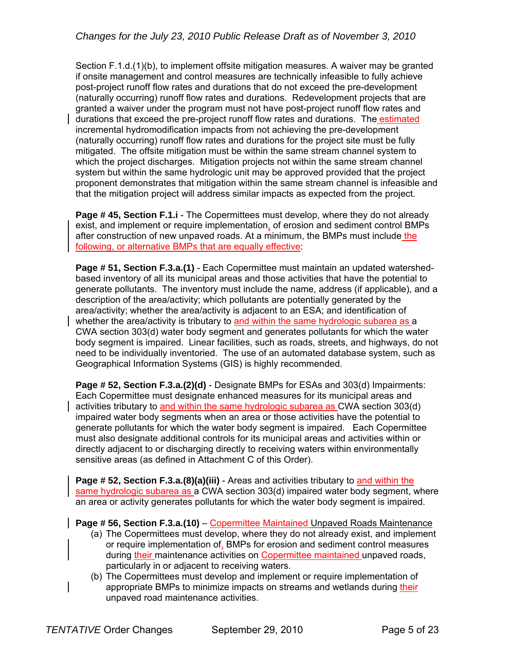Section F.1.d.(1)(b), to implement offsite mitigation measures. A waiver may be granted if onsite management and control measures are technically infeasible to fully achieve post-project runoff flow rates and durations that do not exceed the pre-development (naturally occurring) runoff flow rates and durations. Redevelopment projects that are granted a waiver under the program must not have post-project runoff flow rates and durations that exceed the pre-project runoff flow rates and durations. The estimated incremental hydromodification impacts from not achieving the pre-development (naturally occurring) runoff flow rates and durations for the project site must be fully mitigated. The offsite mitigation must be within the same stream channel system to which the project discharges. Mitigation projects not within the same stream channel system but within the same hydrologic unit may be approved provided that the project proponent demonstrates that mitigation within the same stream channel is infeasible and that the mitigation project will address similar impacts as expected from the project.

**Page # 45, Section F.1.i** - The Copermittees must develop, where they do not already exist, and implement or require implementation, of erosion and sediment control BMPs after construction of new unpaved roads. At a minimum, the BMPs must include the following, or alternative BMPs that are equally effective:

**Page # 51, Section F.3.a.(1)** - Each Copermittee must maintain an updated watershedbased inventory of all its municipal areas and those activities that have the potential to generate pollutants. The inventory must include the name, address (if applicable), and a description of the area/activity; which pollutants are potentially generated by the area/activity; whether the area/activity is adjacent to an ESA; and identification of whether the area/activity is tributary to and within the same hydrologic subarea as a CWA section 303(d) water body segment and generates pollutants for which the water body segment is impaired. Linear facilities, such as roads, streets, and highways, do not need to be individually inventoried. The use of an automated database system, such as Geographical Information Systems (GIS) is highly recommended.

**Page # 52, Section F.3.a.(2)(d)** - Designate BMPs for ESAs and 303(d) Impairments: Each Copermittee must designate enhanced measures for its municipal areas and activities tributary to and within the same hydrologic subarea as CWA section 303(d) impaired water body segments when an area or those activities have the potential to generate pollutants for which the water body segment is impaired. Each Copermittee must also designate additional controls for its municipal areas and activities within or directly adjacent to or discharging directly to receiving waters within environmentally sensitive areas (as defined in Attachment C of this Order).

**Page # 52, Section F.3.a.(8)(a)(iii)** - Areas and activities tributary to and within the same hydrologic subarea as a CWA section 303(d) impaired water body segment, where an area or activity generates pollutants for which the water body segment is impaired.

**Page # 56, Section F.3.a.(10) – Copermittee Maintained Unpaved Roads Maintenance** 

- (a) The Copermittees must develop, where they do not already exist, and implement or require implementation of, BMPs for erosion and sediment control measures during their maintenance activities on Copermittee maintained unpaved roads, particularly in or adjacent to receiving waters.
- (b) The Copermittees must develop and implement or require implementation of appropriate BMPs to minimize impacts on streams and wetlands during their unpaved road maintenance activities.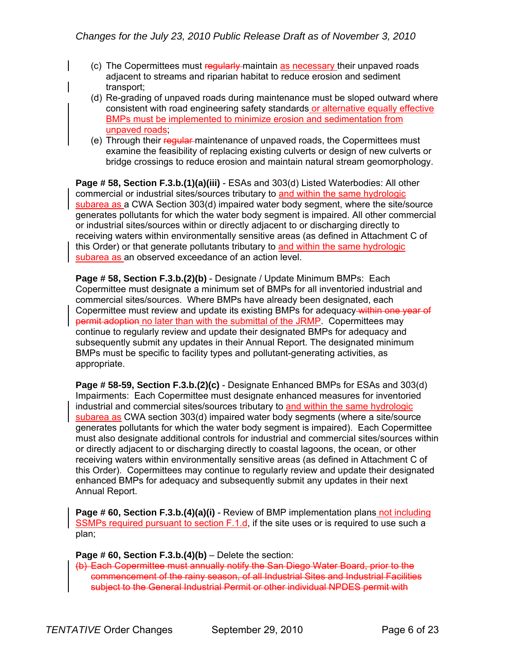- (c) The Copermittees must regularly maintain as necessary their unpaved roads adjacent to streams and riparian habitat to reduce erosion and sediment transport;
- (d) Re-grading of unpaved roads during maintenance must be sloped outward where consistent with road engineering safety standards or alternative equally effective BMPs must be implemented to minimize erosion and sedimentation from unpaved roads;
- (e) Through their regular maintenance of unpaved roads, the Copermittees must examine the feasibility of replacing existing culverts or design of new culverts or bridge crossings to reduce erosion and maintain natural stream geomorphology.

**Page # 58, Section F.3.b.(1)(a)(iii)** - ESAs and 303(d) Listed Waterbodies: All other commercial or industrial sites/sources tributary to and within the same hydrologic subarea as a CWA Section 303(d) impaired water body segment, where the site/source generates pollutants for which the water body segment is impaired. All other commercial or industrial sites/sources within or directly adjacent to or discharging directly to receiving waters within environmentally sensitive areas (as defined in Attachment C of this Order) or that generate pollutants tributary to and within the same hydrologic subarea as an observed exceedance of an action level.

**Page # 58, Section F.3.b.(2)(b)** - Designate / Update Minimum BMPs: Each Copermittee must designate a minimum set of BMPs for all inventoried industrial and commercial sites/sources. Where BMPs have already been designated, each Copermittee must review and update its existing BMPs for adequacy within one year of permit adoption no later than with the submittal of the JRMP. Copermittees may continue to regularly review and update their designated BMPs for adequacy and subsequently submit any updates in their Annual Report. The designated minimum BMPs must be specific to facility types and pollutant-generating activities, as appropriate.

**Page # 58-59, Section F.3.b.(2)(c)** - Designate Enhanced BMPs for ESAs and 303(d) Impairments: Each Copermittee must designate enhanced measures for inventoried industrial and commercial sites/sources tributary to and within the same hydrologic subarea as CWA section 303(d) impaired water body segments (where a site/source generates pollutants for which the water body segment is impaired). Each Copermittee must also designate additional controls for industrial and commercial sites/sources within or directly adjacent to or discharging directly to coastal lagoons, the ocean, or other receiving waters within environmentally sensitive areas (as defined in Attachment C of this Order). Copermittees may continue to regularly review and update their designated enhanced BMPs for adequacy and subsequently submit any updates in their next Annual Report.

**Page # 60, Section F.3.b.(4)(a)(i)** - Review of BMP implementation plans not including SSMPs required pursuant to section F.1.d, if the site uses or is required to use such a plan;

**Page # 60, Section F.3.b.(4)(b)** – Delete the section:

(b) Each Copermittee must annually notify the San Diego Water Board, prior to the commencement of the rainy season, of all Industrial Sites and Industrial Facilities subject to the General Industrial Permit or other individual NPDES permit with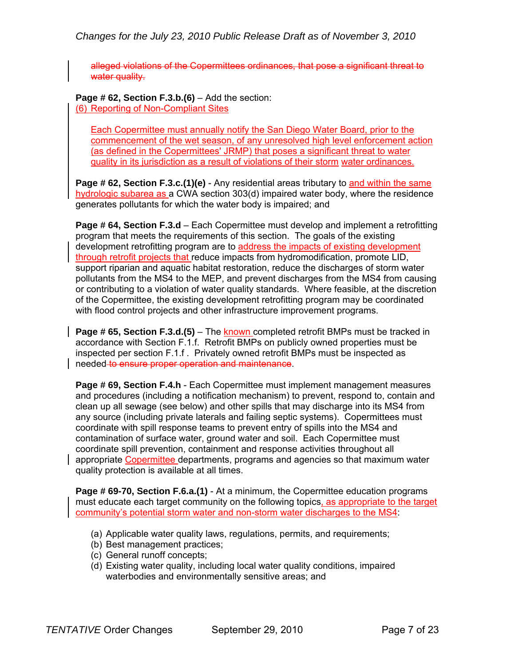*Changes for the July 23, 2010 Public Release Draft as of November 3, 2010* 

alleged violations of the Copermittees ordinances, that pose a significant threat to water quality.

**Page # 62, Section F.3.b.(6)** – Add the section: (6) Reporting of Non-Compliant Sites

Each Copermittee must annually notify the San Diego Water Board, prior to the commencement of the wet season, of any unresolved high level enforcement action (as defined in the Copermittees' JRMP) that poses a significant threat to water quality in its jurisdiction as a result of violations of their storm water ordinances.

**Page # 62, Section F.3.c.(1)(e)** - Any residential areas tributary to and within the same hydrologic subarea as a CWA section 303(d) impaired water body, where the residence generates pollutants for which the water body is impaired; and

**Page # 64, Section F.3.d** – Each Copermittee must develop and implement a retrofitting program that meets the requirements of this section. The goals of the existing development retrofitting program are to address the impacts of existing development through retrofit projects that reduce impacts from hydromodification, promote LID, support riparian and aquatic habitat restoration, reduce the discharges of storm water pollutants from the MS4 to the MEP, and prevent discharges from the MS4 from causing or contributing to a violation of water quality standards. Where feasible, at the discretion of the Copermittee, the existing development retrofitting program may be coordinated with flood control projects and other infrastructure improvement programs.

**Page # 65, Section F.3.d.(5)** – The known completed retrofit BMPs must be tracked in accordance with Section F.1.f. Retrofit BMPs on publicly owned properties must be inspected per section F.1.f . Privately owned retrofit BMPs must be inspected as needed to ensure proper operation and maintenance.

**Page # 69, Section F.4.h** - Each Copermittee must implement management measures and procedures (including a notification mechanism) to prevent, respond to, contain and clean up all sewage (see below) and other spills that may discharge into its MS4 from any source (including private laterals and failing septic systems). Copermittees must coordinate with spill response teams to prevent entry of spills into the MS4 and contamination of surface water, ground water and soil. Each Copermittee must coordinate spill prevention, containment and response activities throughout all appropriate Copermittee departments, programs and agencies so that maximum water quality protection is available at all times.

**Page # 69-70, Section F.6.a.(1)** - At a minimum, the Copermittee education programs must educate each target community on the following topics, as appropriate to the target community's potential storm water and non-storm water discharges to the MS4:

- (a) Applicable water quality laws, regulations, permits, and requirements;
- (b) Best management practices;
- (c) General runoff concepts;
- (d) Existing water quality, including local water quality conditions, impaired waterbodies and environmentally sensitive areas; and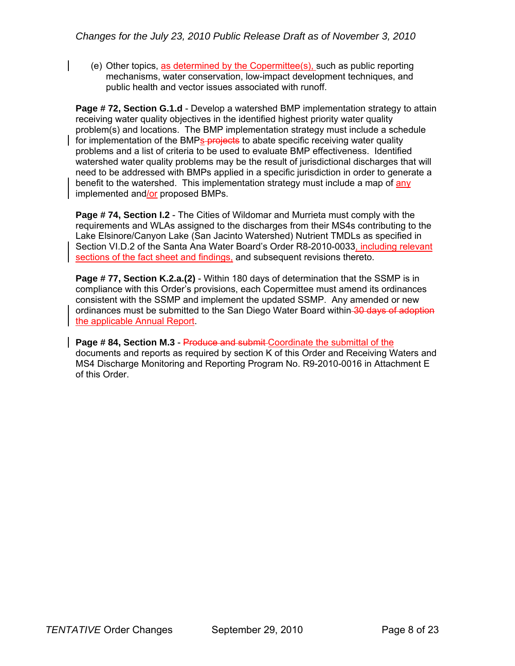(e) Other topics, as determined by the Copermittee(s), such as public reporting mechanisms, water conservation, low-impact development techniques, and public health and vector issues associated with runoff.

**Page # 72, Section G.1.d** - Develop a watershed BMP implementation strategy to attain receiving water quality objectives in the identified highest priority water quality problem(s) and locations. The BMP implementation strategy must include a schedule for implementation of the BMPs-**projects** to abate specific receiving water quality problems and a list of criteria to be used to evaluate BMP effectiveness. Identified watershed water quality problems may be the result of jurisdictional discharges that will need to be addressed with BMPs applied in a specific jurisdiction in order to generate a benefit to the watershed. This implementation strategy must include a map of any implemented and/or proposed BMPs.

**Page # 74, Section I.2** - The Cities of Wildomar and Murrieta must comply with the requirements and WLAs assigned to the discharges from their MS4s contributing to the Lake Elsinore/Canyon Lake (San Jacinto Watershed) Nutrient TMDLs as specified in Section VI.D.2 of the Santa Ana Water Board's Order R8-2010-0033, including relevant sections of the fact sheet and findings, and subsequent revisions thereto.

**Page # 77, Section K.2.a.(2)** - Within 180 days of determination that the SSMP is in compliance with this Order's provisions, each Copermittee must amend its ordinances consistent with the SSMP and implement the updated SSMP. Any amended or new ordinances must be submitted to the San Diego Water Board within 30 days of adoption the applicable Annual Report.

**Page # 84, Section M.3** - Produce and submit Coordinate the submittal of the documents and reports as required by section K of this Order and Receiving Waters and MS4 Discharge Monitoring and Reporting Program No. R9-2010-0016 in Attachment E of this Order.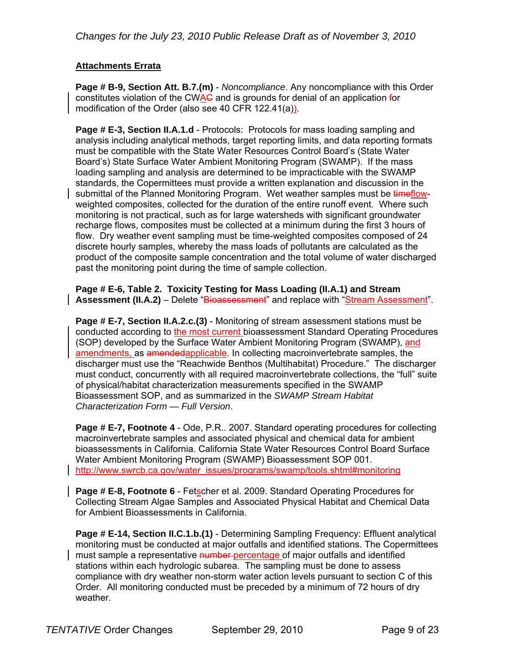### **Attachments Errata**

**Page # B-9, Section Att. B.7.(m)** - *Noncompliance*. Any noncompliance with this Order constitutes violation of the CWAC and is grounds for denial of an application for modification of the Order (also see 40 CFR 122.41(a)).

**Page # E-3, Section II.A.1.d** - Protocols: Protocols for mass loading sampling and analysis including analytical methods, target reporting limits, and data reporting formats must be compatible with the State Water Resources Control Board's (State Water Board's) State Surface Water Ambient Monitoring Program (SWAMP). If the mass loading sampling and analysis are determined to be impracticable with the SWAMP standards, the Copermittees must provide a written explanation and discussion in the submittal of the Planned Monitoring Program. Wet weather samples must be timeflowweighted composites, collected for the duration of the entire runoff event. Where such monitoring is not practical, such as for large watersheds with significant groundwater recharge flows, composites must be collected at a minimum during the first 3 hours of flow. Dry weather event sampling must be time-weighted composites composed of 24 discrete hourly samples, whereby the mass loads of pollutants are calculated as the product of the composite sample concentration and the total volume of water discharged past the monitoring point during the time of sample collection.

**Page # E-6, Table 2. Toxicity Testing for Mass Loading (II.A.1) and Stream**  Assessment (II.A.2) – Delete "Bioassessment" and replace with "Stream Assessment".

**Page # E-7, Section II.A.2.c.(3)** - Monitoring of stream assessment stations must be conducted according to the most current bioassessment Standard Operating Procedures (SOP) developed by the Surface Water Ambient Monitoring Program (SWAMP), and amendments, as amendedapplicable. In collecting macroinvertebrate samples, the discharger must use the "Reachwide Benthos (Multihabitat) Procedure." The discharger must conduct, concurrently with all required macroinvertebrate collections, the "full" suite of physical/habitat characterization measurements specified in the SWAMP Bioassessment SOP, and as summarized in the *SWAMP Stream Habitat Characterization Form — Full Version*.

**Page # E-7, Footnote 4** - Ode, P.R.. 2007. Standard operating procedures for collecting macroinvertebrate samples and associated physical and chemical data for ambient bioassessments in California. California State Water Resources Control Board Surface Water Ambient Monitoring Program (SWAMP) Bioassessment SOP 001. http://www.swrcb.ca.gov/water\_issues/programs/swamp/tools.shtml#monitoring

**Page # E-8, Footnote 6** - Fetscher et al. 2009. Standard Operating Procedures for Collecting Stream Algae Samples and Associated Physical Habitat and Chemical Data for Ambient Bioassessments in California.

**Page # E-14, Section II.C.1.b.(1)** - Determining Sampling Frequency: Effluent analytical monitoring must be conducted at major outfalls and identified stations. The Copermittees must sample a representative number percentage of major outfalls and identified stations within each hydrologic subarea. The sampling must be done to assess compliance with dry weather non-storm water action levels pursuant to section C of this Order. All monitoring conducted must be preceded by a minimum of 72 hours of dry weather.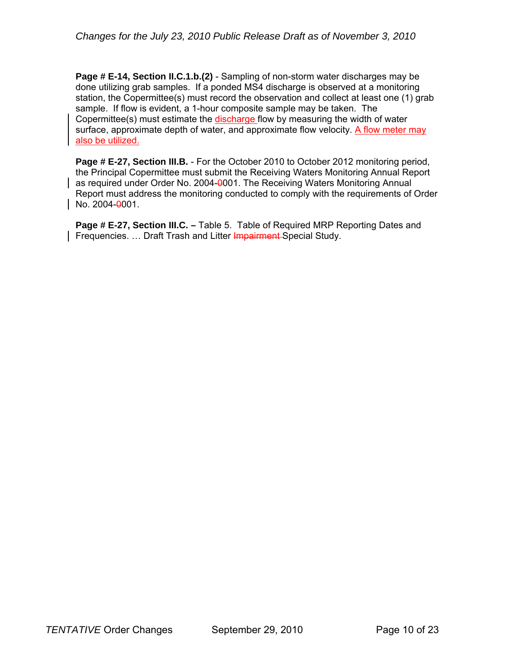**Page # E-14, Section II.C.1.b.(2)** - Sampling of non-storm water discharges may be done utilizing grab samples. If a ponded MS4 discharge is observed at a monitoring station, the Copermittee(s) must record the observation and collect at least one (1) grab sample. If flow is evident, a 1-hour composite sample may be taken. The Copermittee(s) must estimate the discharge flow by measuring the width of water surface, approximate depth of water, and approximate flow velocity. A flow meter may also be utilized.

**Page # E-27, Section III.B.** - For the October 2010 to October 2012 monitoring period, the Principal Copermittee must submit the Receiving Waters Monitoring Annual Report as required under Order No. 2004-0001. The Receiving Waters Monitoring Annual Report must address the monitoring conducted to comply with the requirements of Order No. 2004-0001.

**Page # E-27, Section III.C. –** Table 5. Table of Required MRP Reporting Dates and Frequencies. ... Draft Trash and Litter Impairment-Special Study.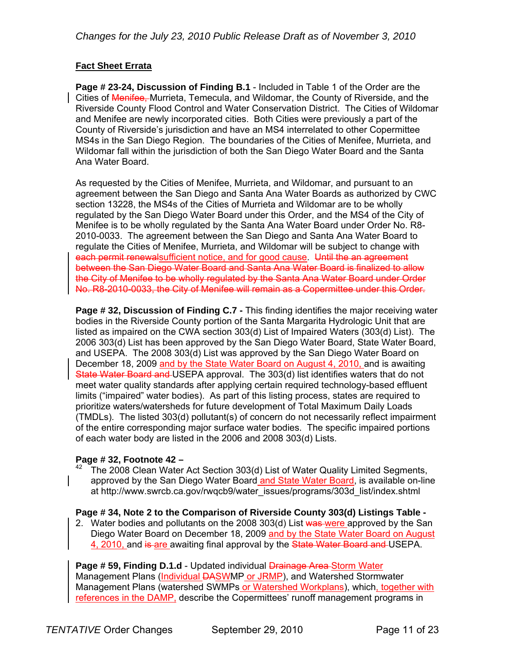### **Fact Sheet Errata**

**Page # 23-24, Discussion of Finding B.1** - Included in Table 1 of the Order are the Cities of Menifee, Murrieta, Temecula, and Wildomar, the County of Riverside, and the Riverside County Flood Control and Water Conservation District. The Cities of Wildomar and Menifee are newly incorporated cities. Both Cities were previously a part of the County of Riverside's jurisdiction and have an MS4 interrelated to other Copermittee MS4s in the San Diego Region. The boundaries of the Cities of Menifee, Murrieta, and Wildomar fall within the jurisdiction of both the San Diego Water Board and the Santa Ana Water Board.

As requested by the Cities of Menifee, Murrieta, and Wildomar, and pursuant to an agreement between the San Diego and Santa Ana Water Boards as authorized by CWC section 13228, the MS4s of the Cities of Murrieta and Wildomar are to be wholly regulated by the San Diego Water Board under this Order, and the MS4 of the City of Menifee is to be wholly regulated by the Santa Ana Water Board under Order No. R8- 2010-0033. The agreement between the San Diego and Santa Ana Water Board to regulate the Cities of Menifee, Murrieta, and Wildomar will be subject to change with each permit renewalsufficient notice, and for good cause. Until the an agreement between the San Diego Water Board and Santa Ana Water Board is finalized to allow the City of Menifee to be wholly regulated by the Santa Ana Water Board under Order No. R8-2010-0033, the City of Menifee will remain as a Copermittee under this Order.

**Page # 32, Discussion of Finding C.7 -** This finding identifies the major receiving water bodies in the Riverside County portion of the Santa Margarita Hydrologic Unit that are listed as impaired on the CWA section 303(d) List of Impaired Waters (303(d) List). The 2006 303(d) List has been approved by the San Diego Water Board, State Water Board, and USEPA. The 2008 303(d) List was approved by the San Diego Water Board on December 18, 2009 and by the State Water Board on August 4, 2010, and is awaiting State Water Board and USEPA approval. The 303(d) list identifies waters that do not meet water quality standards after applying certain required technology-based effluent limits ("impaired" water bodies). As part of this listing process, states are required to prioritize waters/watersheds for future development of Total Maximum Daily Loads (TMDLs). The listed 303(d) pollutant(s) of concern do not necessarily reflect impairment of the entire corresponding major surface water bodies. The specific impaired portions of each water body are listed in the 2006 and 2008 303(d) Lists.

**Page # 32, Footnote 42 –** 42 Cheation 303(d) List of Water Quality Limited Segments, <sup>42</sup> The 2008 Clean Water Act Section 303(d) List of Water Quality Limited Segments, approved by the San Diego Water Board and State Water Board, is available on-line at http://www.swrcb.ca.gov/rwqcb9/water\_issues/programs/303d\_list/index.shtml

**Page # 34, Note 2 to the Comparison of Riverside County 303(d) Listings Table -** 

2. Water bodies and pollutants on the 2008 303(d) List was were approved by the San Diego Water Board on December 18, 2009 and by the State Water Board on August 4, 2010, and is are awaiting final approval by the State Water Board and USEPA.

**Page # 59. Finding D.1.d** - Updated individual **Drainage Area Storm Water** Management Plans (Individual DASWMP or JRMP), and Watershed Stormwater Management Plans (watershed SWMPs or Watershed Workplans), which, together with references in the DAMP, describe the Copermittees' runoff management programs in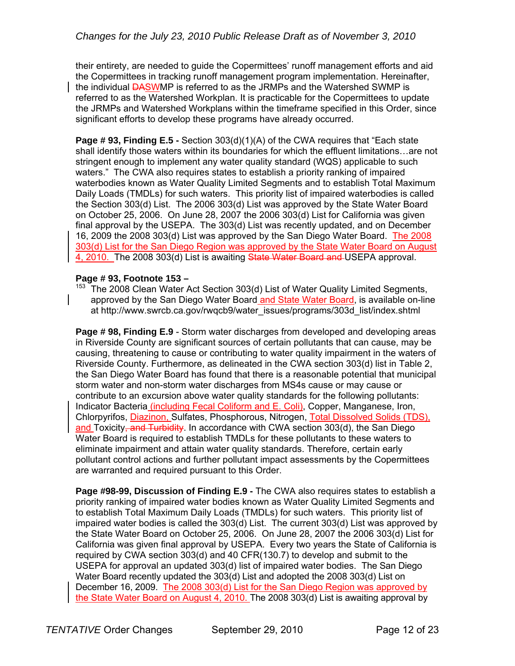their entirety, are needed to guide the Copermittees' runoff management efforts and aid the Copermittees in tracking runoff management program implementation. Hereinafter, the individual DASWMP is referred to as the JRMPs and the Watershed SWMP is referred to as the Watershed Workplan. It is practicable for the Copermittees to update the JRMPs and Watershed Workplans within the timeframe specified in this Order, since significant efforts to develop these programs have already occurred.

**Page # 93, Finding E.5 -** Section 303(d)(1)(A) of the CWA requires that "Each state shall identify those waters within its boundaries for which the effluent limitations…are not stringent enough to implement any water quality standard (WQS) applicable to such waters." The CWA also requires states to establish a priority ranking of impaired waterbodies known as Water Quality Limited Segments and to establish Total Maximum Daily Loads (TMDLs) for such waters. This priority list of impaired waterbodies is called the Section 303(d) List. The 2006 303(d) List was approved by the State Water Board on October 25, 2006. On June 28, 2007 the 2006 303(d) List for California was given final approval by the USEPA. The 303(d) List was recently updated, and on December 16, 2009 the 2008 303(d) List was approved by the San Diego Water Board. The 2008 303(d) List for the San Diego Region was approved by the State Water Board on August 4, 2010. The 2008 303(d) List is awaiting State Water Board and USEPA approval.

**Page # 93, Footnote 153 –** 153 The 2008 Clean Water 303(d) List of Water Quality Limited Segments, <sup>153</sup> The 2008 Clean Water Act Section 303(d) List of Water Quality Limited Segments, approved by the San Diego Water Board and State Water Board, is available on-line at http://www.swrcb.ca.gov/rwqcb9/water\_issues/programs/303d\_list/index.shtml

**Page # 98, Finding E.9** - Storm water discharges from developed and developing areas in Riverside County are significant sources of certain pollutants that can cause, may be causing, threatening to cause or contributing to water quality impairment in the waters of Riverside County. Furthermore, as delineated in the CWA section 303(d) list in Table 2, the San Diego Water Board has found that there is a reasonable potential that municipal storm water and non-storm water discharges from MS4s cause or may cause or contribute to an excursion above water quality standards for the following pollutants: Indicator Bacteria (including Fecal Coliform and E. Coli), Copper, Manganese, Iron, Chlorpyrifos, Diazinon, Sulfates, Phosphorous, Nitrogen, Total Dissolved Solids (TDS), and Toxicity, and Turbidity. In accordance with CWA section  $303(d)$ , the San Diego Water Board is required to establish TMDLs for these pollutants to these waters to eliminate impairment and attain water quality standards. Therefore, certain early pollutant control actions and further pollutant impact assessments by the Copermittees are warranted and required pursuant to this Order.

**Page #98-99, Discussion of Finding E.9 -** The CWA also requires states to establish a priority ranking of impaired water bodies known as Water Quality Limited Segments and to establish Total Maximum Daily Loads (TMDLs) for such waters. This priority list of impaired water bodies is called the 303(d) List. The current 303(d) List was approved by the State Water Board on October 25, 2006. On June 28, 2007 the 2006 303(d) List for California was given final approval by USEPA. Every two years the State of California is required by CWA section 303(d) and 40 CFR(130.7) to develop and submit to the USEPA for approval an updated 303(d) list of impaired water bodies. The San Diego Water Board recently updated the 303(d) List and adopted the 2008 303(d) List on December 16, 2009. The 2008 303(d) List for the San Diego Region was approved by the State Water Board on August 4, 2010. The 2008 303(d) List is awaiting approval by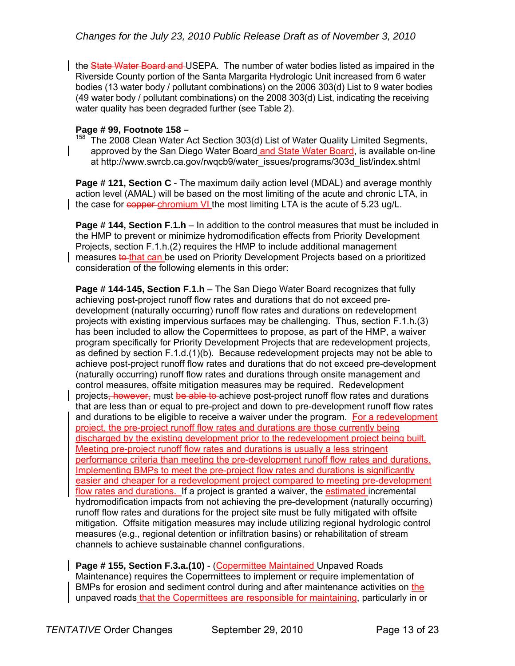the State Water Board and USEPA. The number of water bodies listed as impaired in the Riverside County portion of the Santa Margarita Hydrologic Unit increased from 6 water bodies (13 water body / pollutant combinations) on the 2006 303(d) List to 9 water bodies (49 water body / pollutant combinations) on the 2008 303(d) List, indicating the receiving water quality has been degraded further (see Table 2).

**Page # 99, Footnote 158 –**<br><sup>158</sup> The 2008 Clean Water Act Section 303(d) List of Water Quality Limited Segments, approved by the San Diego Water Board and State Water Board, is available on-line at http://www.swrcb.ca.gov/rwqcb9/water\_issues/programs/303d\_list/index.shtml

**Page # 121, Section C** - The maximum daily action level (MDAL) and average monthly action level (AMAL) will be based on the most limiting of the acute and chronic LTA, in the case for copper chromium VI the most limiting LTA is the acute of 5.23 ug/L.

**Page # 144, Section F.1.h** – In addition to the control measures that must be included in the HMP to prevent or minimize hydromodification effects from Priority Development Projects, section F.1.h.(2) requires the HMP to include additional management measures to that can be used on Priority Development Projects based on a prioritized consideration of the following elements in this order:

**Page # 144-145, Section F.1.h** – The San Diego Water Board recognizes that fully achieving post-project runoff flow rates and durations that do not exceed predevelopment (naturally occurring) runoff flow rates and durations on redevelopment projects with existing impervious surfaces may be challenging. Thus, section F.1.h.(3) has been included to allow the Copermittees to propose, as part of the HMP, a waiver program specifically for Priority Development Projects that are redevelopment projects, as defined by section F.1.d.(1)(b). Because redevelopment projects may not be able to achieve post-project runoff flow rates and durations that do not exceed pre-development (naturally occurring) runoff flow rates and durations through onsite management and control measures, offsite mitigation measures may be required. Redevelopment projects, however, must be able to achieve post-project runoff flow rates and durations that are less than or equal to pre-project and down to pre-development runoff flow rates and durations to be eligible to receive a waiver under the program. For a redevelopment project, the pre-project runoff flow rates and durations are those currently being discharged by the existing development prior to the redevelopment project being built. Meeting pre-project runoff flow rates and durations is usually a less stringent performance criteria than meeting the pre-development runoff flow rates and durations. Implementing BMPs to meet the pre-project flow rates and durations is significantly easier and cheaper for a redevelopment project compared to meeting pre-development flow rates and durations. If a project is granted a waiver, the estimated incremental hydromodification impacts from not achieving the pre-development (naturally occurring) runoff flow rates and durations for the project site must be fully mitigated with offsite mitigation. Offsite mitigation measures may include utilizing regional hydrologic control measures (e.g., regional detention or infiltration basins) or rehabilitation of stream channels to achieve sustainable channel configurations.

**Page # 155, Section F.3.a.(10)** - (Copermittee Maintained Unpaved Roads Maintenance) requires the Copermittees to implement or require implementation of BMPs for erosion and sediment control during and after maintenance activities on the unpaved roads that the Copermittees are responsible for maintaining, particularly in or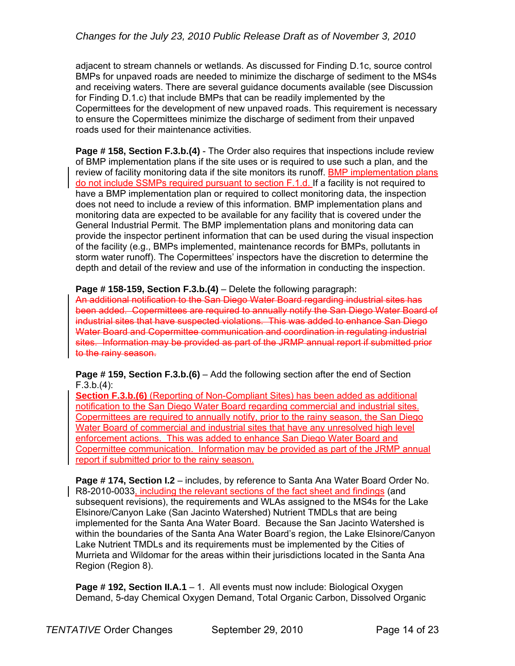adjacent to stream channels or wetlands. As discussed for Finding D.1c, source control BMPs for unpaved roads are needed to minimize the discharge of sediment to the MS4s and receiving waters. There are several guidance documents available (see Discussion for Finding D.1.c) that include BMPs that can be readily implemented by the Copermittees for the development of new unpaved roads. This requirement is necessary to ensure the Copermittees minimize the discharge of sediment from their unpaved roads used for their maintenance activities.

**Page # 158, Section F.3.b.(4)** - The Order also requires that inspections include review of BMP implementation plans if the site uses or is required to use such a plan, and the review of facility monitoring data if the site monitors its runoff. BMP implementation plans do not include SSMPs required pursuant to section F.1.d. If a facility is not required to have a BMP implementation plan or required to collect monitoring data, the inspection does not need to include a review of this information. BMP implementation plans and monitoring data are expected to be available for any facility that is covered under the General Industrial Permit. The BMP implementation plans and monitoring data can provide the inspector pertinent information that can be used during the visual inspection of the facility (e.g., BMPs implemented, maintenance records for BMPs, pollutants in storm water runoff). The Copermittees' inspectors have the discretion to determine the depth and detail of the review and use of the information in conducting the inspection.

**Page # 158-159, Section F.3.b.(4)** – Delete the following paragraph:

An additional notification to the San Diego Water Board regarding industrial sites has been added. Copermittees are required to annually notify the San Diego Water Board of industrial sites that have suspected violations. This was added to enhance San Diego Water Board and Copermittee communication and coordination in regulating industrial sites. Information may be provided as part of the JRMP annual report if submitted prior to the rainy season.

**Page # 159, Section F.3.b.(6)** – Add the following section after the end of Section F.3.b.(4):

**Section F.3.b.(6)** (Reporting of Non-Compliant Sites) has been added as additional notification to the San Diego Water Board regarding commercial and industrial sites. Copermittees are required to annually notify, prior to the rainy season, the San Diego Water Board of commercial and industrial sites that have any unresolved high level enforcement actions. This was added to enhance San Diego Water Board and Copermittee communication. Information may be provided as part of the JRMP annual report if submitted prior to the rainy season.

**Page # 174, Section I.2** – includes, by reference to Santa Ana Water Board Order No. R8-2010-0033, including the relevant sections of the fact sheet and findings (and subsequent revisions), the requirements and WLAs assigned to the MS4s for the Lake Elsinore/Canyon Lake (San Jacinto Watershed) Nutrient TMDLs that are being implemented for the Santa Ana Water Board. Because the San Jacinto Watershed is within the boundaries of the Santa Ana Water Board's region, the Lake Elsinore/Canyon Lake Nutrient TMDLs and its requirements must be implemented by the Cities of Murrieta and Wildomar for the areas within their jurisdictions located in the Santa Ana Region (Region 8).

**Page # 192, Section II.A.1** – 1. All events must now include: Biological Oxygen Demand, 5-day Chemical Oxygen Demand, Total Organic Carbon, Dissolved Organic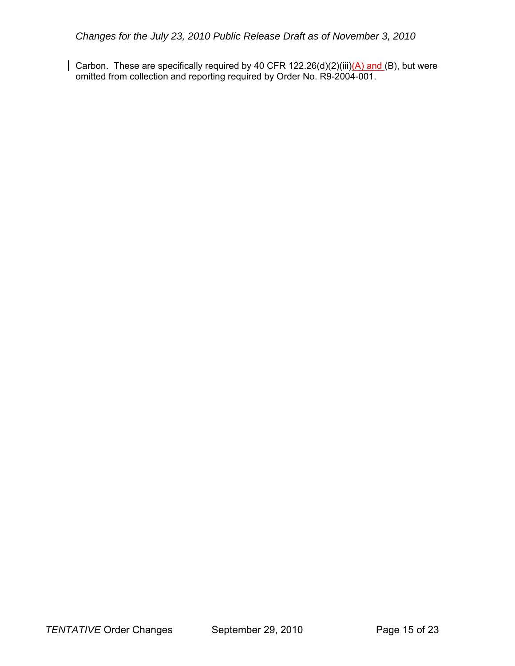Carbon. These are specifically required by 40 CFR 122.26(d)(2)(iii)(A) and (B), but were omitted from collection and reporting required by Order No. R9-2004-001.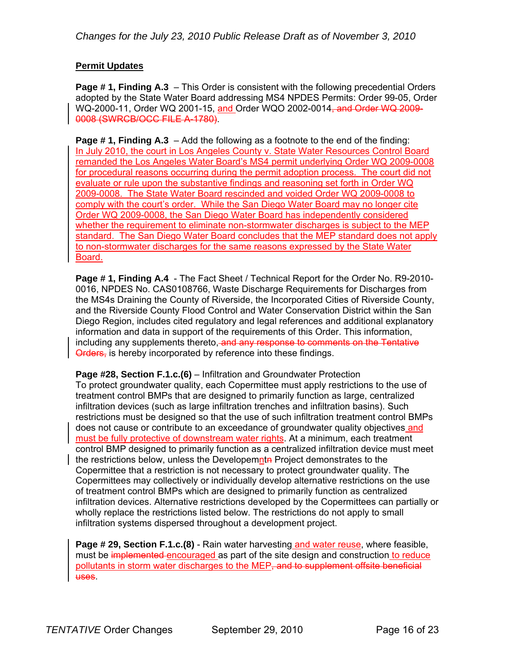### **Permit Updates**

**Page # 1, Finding A.3** – This Order is consistent with the following precedential Orders adopted by the State Water Board addressing MS4 NPDES Permits: Order 99-05, Order WQ-2000-11, Order WQ 2001-15, and Order WQO 2002-0014<del>, and Order WQ 2009-</del> 0008 (SWRCB/OCC FILE A-1780).

**Page # 1, Finding A.3** – Add the following as a footnote to the end of the finding: In July 2010, the court in Los Angeles County v. State Water Resources Control Board remanded the Los Angeles Water Board's MS4 permit underlying Order WQ 2009-0008 for procedural reasons occurring during the permit adoption process. The court did not evaluate or rule upon the substantive findings and reasoning set forth in Order WQ 2009-0008. The State Water Board rescinded and voided Order WQ 2009-0008 to comply with the court's order. While the San Diego Water Board may no longer cite Order WQ 2009-0008, the San Diego Water Board has independently considered whether the requirement to eliminate non-stormwater discharges is subject to the MEP standard. The San Diego Water Board concludes that the MEP standard does not apply to non-stormwater discharges for the same reasons expressed by the State Water Board.

**Page # 1, Finding A.4** - The Fact Sheet / Technical Report for the Order No. R9-2010- 0016, NPDES No. CAS0108766, Waste Discharge Requirements for Discharges from the MS4s Draining the County of Riverside, the Incorporated Cities of Riverside County, and the Riverside County Flood Control and Water Conservation District within the San Diego Region, includes cited regulatory and legal references and additional explanatory information and data in support of the requirements of this Order. This information, including any supplements thereto, and any response to comments on the Tentative Orders, is hereby incorporated by reference into these findings.

**Page #28, Section F.1.c.(6)** – Infiltration and Groundwater Protection To protect groundwater quality, each Copermittee must apply restrictions to the use of treatment control BMPs that are designed to primarily function as large, centralized infiltration devices (such as large infiltration trenches and infiltration basins). Such restrictions must be designed so that the use of such infiltration treatment control BMPs does not cause or contribute to an exceedance of groundwater quality objectives and must be fully protective of downstream water rights. At a minimum, each treatment control BMP designed to primarily function as a centralized infiltration device must meet the restrictions below, unless the Developemnta Project demonstrates to the Copermittee that a restriction is not necessary to protect groundwater quality. The Copermittees may collectively or individually develop alternative restrictions on the use of treatment control BMPs which are designed to primarily function as centralized infiltration devices. Alternative restrictions developed by the Copermittees can partially or wholly replace the restrictions listed below. The restrictions do not apply to small infiltration systems dispersed throughout a development project.

**Page # 29, Section F.1.c.(8)** - Rain water harvesting and water reuse, where feasible, must be implemented encouraged as part of the site design and construction to reduce pollutants in storm water discharges to the MEP, and to supplement offsite beneficial uses.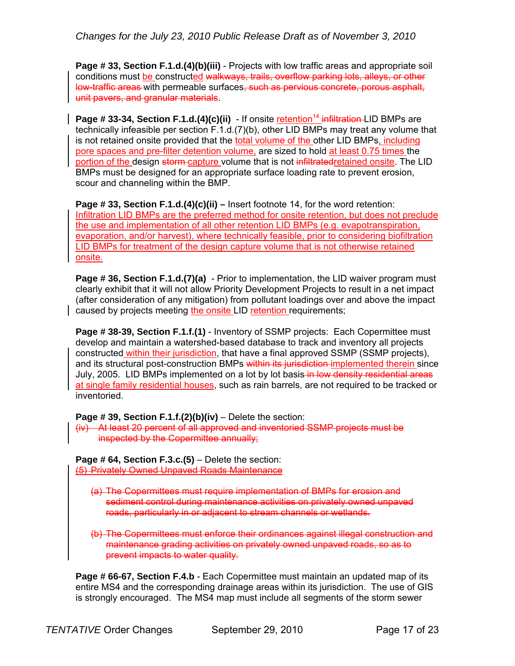**Page # 33, Section F.1.d.(4)(b)(iii)** - Projects with low traffic areas and appropriate soil conditions must be constructed walkways, trails, overflow parking lots, alleys, or other low-traffic areas with permeable surfaces, such as pervious concrete, porous asphalt, unit pavers, and granular materials.

**Page # 33-34, Section F.1.d.(4)(c)(ii)** - If onsite retention<sup>14</sup> infiltration-LID BMPs are technically infeasible per section F.1.d.(7)(b), other LID BMPs may treat any volume that is not retained onsite provided that the total volume of the other LID BMPs, including pore spaces and pre-filter detention volume, are sized to hold at least 0.75 times the portion of the design storm capture volume that is not infiltrated retained onsite. The LID BMPs must be designed for an appropriate surface loading rate to prevent erosion, scour and channeling within the BMP.

**Page # 33, Section F.1.d.(4)(c)(ii) –** Insert footnote 14, for the word retention: Infiltration LID BMPs are the preferred method for onsite retention, but does not preclude the use and implementation of all other retention LID BMPs (e.g. evapotranspiration, evaporation, and/or harvest), where technically feasible, prior to considering biofiltration LID BMPs for treatment of the design capture volume that is not otherwise retained onsite.

**Page # 36, Section F.1.d.(7)(a)** - Prior to implementation, the LID waiver program must clearly exhibit that it will not allow Priority Development Projects to result in a net impact (after consideration of any mitigation) from pollutant loadings over and above the impact caused by projects meeting the onsite LID retention requirements;

**Page # 38-39, Section F.1.f.(1)** - Inventory of SSMP projects: Each Copermittee must develop and maintain a watershed-based database to track and inventory all projects constructed within their jurisdiction, that have a final approved SSMP (SSMP projects), and its structural post-construction BMPs within its jurisdiction implemented therein since July, 2005. LID BMPs implemented on a lot by lot basis in low density residential areas at single family residential houses, such as rain barrels, are not required to be tracked or inventoried.

**Page # 39, Section F.1.f.(2)(b)(iv)** – Delete the section:

(iv) At least 20 percent of all approved and inventoried SSMP projects must be inspected by the Copermittee annually;

**Page # 64, Section F.3.c.(5)** – Delete the section: (5) Privately Owned Unpaved Roads Maintenance

- (a) The Copermittees must require implementation of BMPs for erosion and sediment control during maintenance activities on privately owned unpaved roads, particularly in or adjacent to stream channels or wetlands.
- (b) The Copermittees must enforce their ordinances against illegal construction and maintenance grading activities on privately owned unpaved roads, so as to prevent impacts to water quality.

**Page # 66-67, Section F.4.b** - Each Copermittee must maintain an updated map of its entire MS4 and the corresponding drainage areas within its jurisdiction. The use of GIS is strongly encouraged. The MS4 map must include all segments of the storm sewer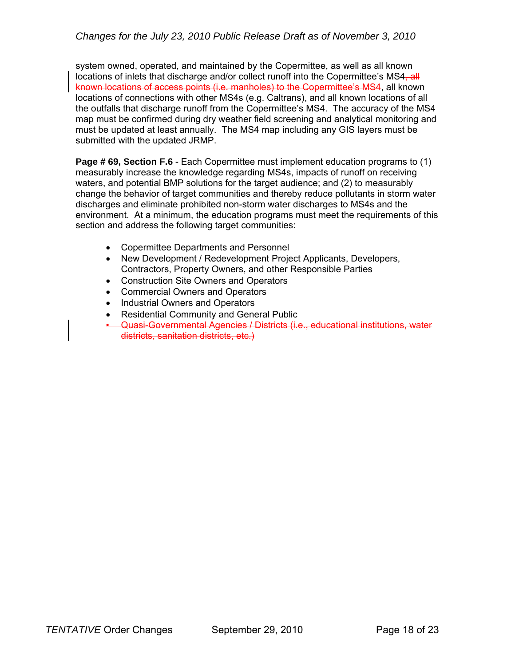system owned, operated, and maintained by the Copermittee, as well as all known locations of inlets that discharge and/or collect runoff into the Copermittee's MS4-all known locations of access points (i.e. manholes) to the Copermittee's MS4, all known locations of connections with other MS4s (e.g. Caltrans), and all known locations of all the outfalls that discharge runoff from the Copermittee's MS4. The accuracy of the MS4 map must be confirmed during dry weather field screening and analytical monitoring and must be updated at least annually. The MS4 map including any GIS layers must be submitted with the updated JRMP.

**Page # 69, Section F.6** - Each Copermittee must implement education programs to (1) measurably increase the knowledge regarding MS4s, impacts of runoff on receiving waters, and potential BMP solutions for the target audience; and (2) to measurably change the behavior of target communities and thereby reduce pollutants in storm water discharges and eliminate prohibited non-storm water discharges to MS4s and the environment. At a minimum, the education programs must meet the requirements of this section and address the following target communities:

- Copermittee Departments and Personnel
- New Development / Redevelopment Project Applicants, Developers, Contractors, Property Owners, and other Responsible Parties
- Construction Site Owners and Operators
- Commercial Owners and Operators
- Industrial Owners and Operators
- Residential Community and General Public
- Quasi-Governmental Agencies / Districts (i.e., educational institutions, water districts, sanitation districts, etc.)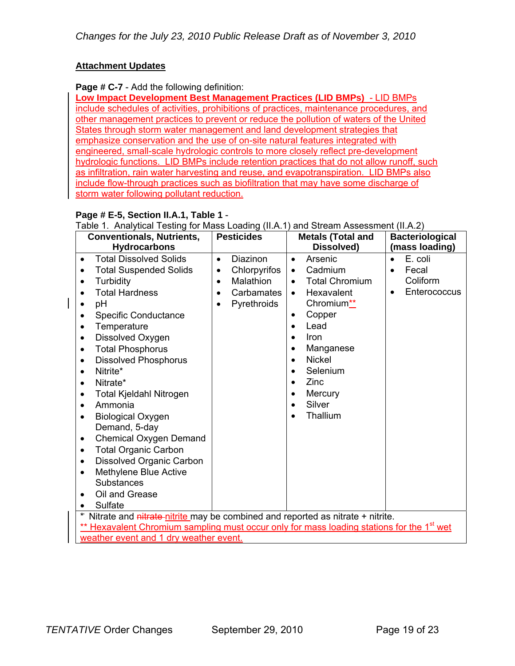### **Attachment Updates**

### **Page # C-7** - Add the following definition:

**Low Impact Development Best Management Practices (LID BMPs)** - LID BMPs include schedules of activities, prohibitions of practices, maintenance procedures, and other management practices to prevent or reduce the pollution of waters of the United States through storm water management and land development strategies that emphasize conservation and the use of on-site natural features integrated with engineered, small-scale hydrologic controls to more closely reflect pre-development hydrologic functions. LID BMPs include retention practices that do not allow runoff, such as infiltration, rain water harvesting and reuse, and evapotranspiration. LID BMPs also include flow-through practices such as biofiltration that may have some discharge of storm water following pollutant reduction.

### **Page # E-5, Section II.A.1, Table 1** -

Table 1. Analytical Testing for Mass Loading (II.A.1) and Stream Assessment (II.A.2)

| <b>Conventionals, Nutrients,</b><br><b>Hydrocarbons</b>                                                                                                                                                                                                                                                                                                                                                                                                                                                                                                                                                                                                                                                                         | <b>Pesticides</b>                                                                                                | <b>Metals (Total and</b><br>Dissolved)                                                                                                                                                                                                                                                                                                  | <b>Bacteriological</b><br>(mass loading)                                            |
|---------------------------------------------------------------------------------------------------------------------------------------------------------------------------------------------------------------------------------------------------------------------------------------------------------------------------------------------------------------------------------------------------------------------------------------------------------------------------------------------------------------------------------------------------------------------------------------------------------------------------------------------------------------------------------------------------------------------------------|------------------------------------------------------------------------------------------------------------------|-----------------------------------------------------------------------------------------------------------------------------------------------------------------------------------------------------------------------------------------------------------------------------------------------------------------------------------------|-------------------------------------------------------------------------------------|
| <b>Total Dissolved Solids</b><br>$\bullet$<br><b>Total Suspended Solids</b><br>$\bullet$<br>Turbidity<br>$\bullet$<br><b>Total Hardness</b><br>pH<br><b>Specific Conductance</b><br>$\bullet$<br>Temperature<br>$\bullet$<br>Dissolved Oxygen<br>٠<br><b>Total Phosphorus</b><br>$\bullet$<br><b>Dissolved Phosphorus</b><br>$\bullet$<br>Nitrite*<br>٠<br>Nitrate*<br>$\bullet$<br>Total Kjeldahl Nitrogen<br>٠<br>Ammonia<br>$\bullet$<br><b>Biological Oxygen</b><br>$\bullet$<br>Demand, 5-day<br><b>Chemical Oxygen Demand</b><br>٠<br><b>Total Organic Carbon</b><br>$\bullet$<br><b>Dissolved Organic Carbon</b><br>$\bullet$<br>Methylene Blue Active<br>$\bullet$<br>Substances<br>Oil and Grease<br>Sulfate<br>$\ast$ | <b>Diazinon</b><br>$\bullet$<br>Chlorpyrifos<br>$\bullet$<br>Malathion<br>$\bullet$<br>Carbamates<br>Pyrethroids | Arsenic<br>$\bullet$<br>Cadmium<br>$\bullet$<br><b>Total Chromium</b><br>$\bullet$<br>Hexavalent<br>$\bullet$<br>Chromium <sup>**</sup><br>Copper<br>٠<br>Lead<br>$\bullet$<br>Iron<br>$\bullet$<br>Manganese<br>$\bullet$<br><b>Nickel</b><br>$\bullet$<br>Selenium<br>Zinc<br>$\bullet$<br>Mercury<br>Silver<br>Thallium<br>$\bullet$ | E. coli<br>$\bullet$<br>Fecal<br>$\bullet$<br>Coliform<br>Enterococcus<br>$\bullet$ |
| Nitrate and nitrate-nitrite may be combined and reported as nitrate + nitrite.<br>Hexavalent Chromium sampling must occur only for mass loading stations for the 1 <sup>st</sup> wet<br>weather event and 1 dry weather event.                                                                                                                                                                                                                                                                                                                                                                                                                                                                                                  |                                                                                                                  |                                                                                                                                                                                                                                                                                                                                         |                                                                                     |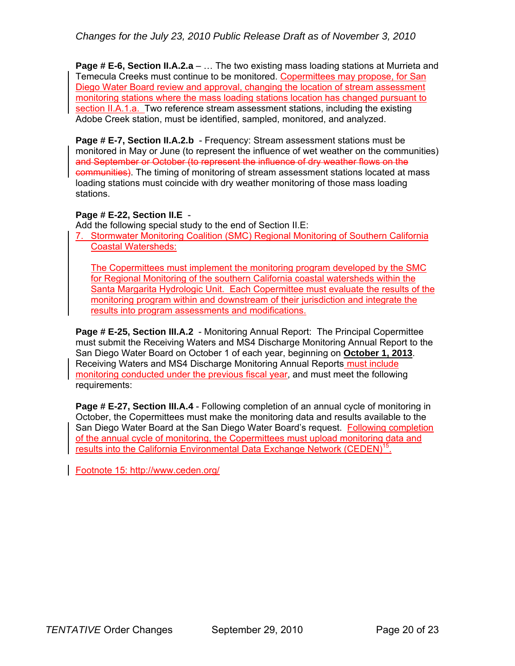**Page # E-6, Section II.A.2.a** – ... The two existing mass loading stations at Murrieta and Temecula Creeks must continue to be monitored. Copermittees may propose, for San Diego Water Board review and approval, changing the location of stream assessment monitoring stations where the mass loading stations location has changed pursuant to section II.A.1.a. Two reference stream assessment stations, including the existing Adobe Creek station, must be identified, sampled, monitored, and analyzed.

**Page # E-7, Section II.A.2.b** - Frequency: Stream assessment stations must be monitored in May or June (to represent the influence of wet weather on the communities) and September or October (to represent the influence of dry weather flows on the communities). The timing of monitoring of stream assessment stations located at mass loading stations must coincide with dry weather monitoring of those mass loading stations.

### **Page # E-22, Section II.E** -

Add the following special study to the end of Section II.E:

7. Stormwater Monitoring Coalition (SMC) Regional Monitoring of Southern California Coastal Watersheds:

The Copermittees must implement the monitoring program developed by the SMC for Regional Monitoring of the southern California coastal watersheds within the Santa Margarita Hydrologic Unit. Each Copermittee must evaluate the results of the monitoring program within and downstream of their jurisdiction and integrate the results into program assessments and modifications.

**Page # E-25, Section III.A.2** - Monitoring Annual Report: The Principal Copermittee must submit the Receiving Waters and MS4 Discharge Monitoring Annual Report to the San Diego Water Board on October 1 of each year, beginning on **October 1, 2013**. Receiving Waters and MS4 Discharge Monitoring Annual Reports must include monitoring conducted under the previous fiscal year, and must meet the following requirements:

**Page # E-27, Section III.A.4** - Following completion of an annual cycle of monitoring in October, the Copermittees must make the monitoring data and results available to the San Diego Water Board at the San Diego Water Board's request. Following completion of the annual cycle of monitoring, the Copermittees must upload monitoring data and results into the California Environmental Data Exchange Network (CEDEN)<sup>15</sup>.

Footnote 15: http://www.ceden.org/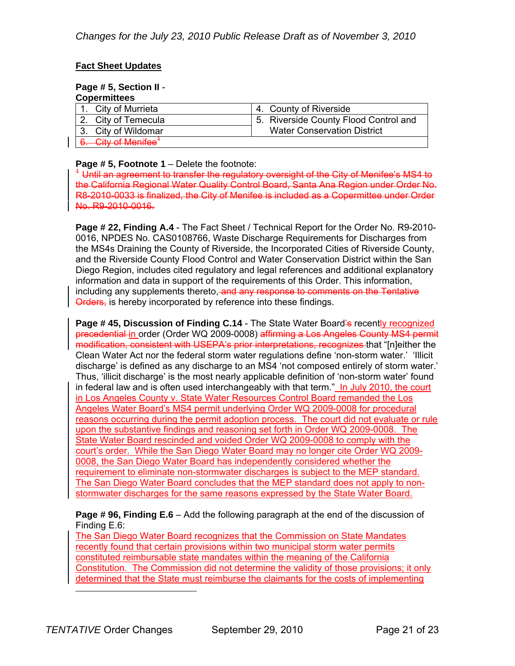### **Fact Sheet Updates**

### **Page # 5, Section II** -

| <b>Copermittees</b>             |                                       |
|---------------------------------|---------------------------------------|
| 1. City of Murrieta             | 4. County of Riverside                |
| 2. City of Temecula             | 5. Riverside County Flood Control and |
| 3. City of Wildomar             | <b>Water Conservation District</b>    |
| $C$ ity of Manifag <sup>1</sup> |                                       |

**Page # 5, Footnote 1** – Delete the footnote:

<sup>4</sup> Until an agreement to transfer the regulatory oversight of the City of Menifee's MS4 to the California Regional Water Quality Control Board, Santa Ana Region under Order No. R8-2010-0033 is finalized, the City of Menifee is included as a Copermittee under Order No. R9-2010-0016.

**Page # 22, Finding A.4** - The Fact Sheet / Technical Report for the Order No. R9-2010- 0016, NPDES No. CAS0108766, Waste Discharge Requirements for Discharges from the MS4s Draining the County of Riverside, the Incorporated Cities of Riverside County, and the Riverside County Flood Control and Water Conservation District within the San Diego Region, includes cited regulatory and legal references and additional explanatory information and data in support of the requirements of this Order. This information, including any supplements thereto, and any response to comments on the Tentative Orders, is hereby incorporated by reference into these findings.

**Page # 45, Discussion of Finding C.14** - The State Water Board's recently recognized precedential in order (Order WQ 2009-0008) affirming a Los Angeles County MS4 permit modification, consistent with USEPA's prior interpretations, recognizes that "[n]either the Clean Water Act nor the federal storm water regulations define 'non-storm water.' 'Illicit discharge' is defined as any discharge to an MS4 'not composed entirely of storm water.' Thus, 'illicit discharge' is the most nearly applicable definition of 'non-storm water' found in federal law and is often used interchangeably with that term." In July 2010, the court in Los Angeles County v. State Water Resources Control Board remanded the Los Angeles Water Board's MS4 permit underlying Order WQ 2009-0008 for procedural reasons occurring during the permit adoption process. The court did not evaluate or rule upon the substantive findings and reasoning set forth in Order WQ 2009-0008. The State Water Board rescinded and voided Order WQ 2009-0008 to comply with the court's order. While the San Diego Water Board may no longer cite Order WQ 2009- 0008, the San Diego Water Board has independently considered whether the requirement to eliminate non-stormwater discharges is subject to the MEP standard. The San Diego Water Board concludes that the MEP standard does not apply to nonstormwater discharges for the same reasons expressed by the State Water Board.

**Page # 96, Finding E.6** – Add the following paragraph at the end of the discussion of Finding E.6:

The San Diego Water Board recognizes that the Commission on State Mandates recently found that certain provisions within two municipal storm water permits constituted reimbursable state mandates within the meaning of the California Constitution. The Commission did not determine the validity of those provisions; it only determined that the State must reimburse the claimants for the costs of implementing

 $\overline{a}$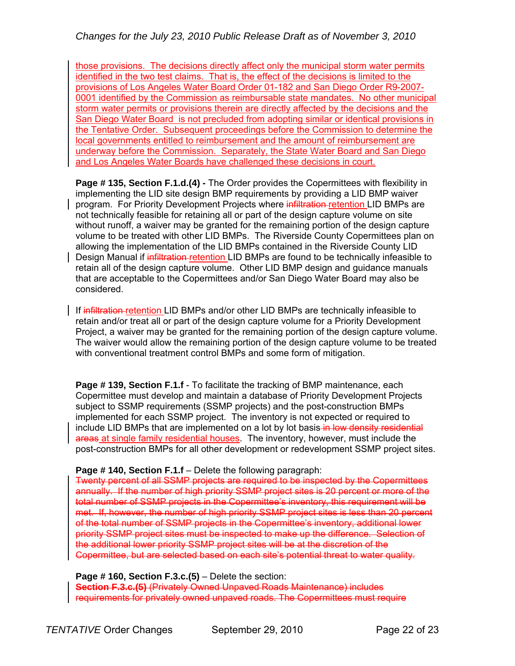those provisions. The decisions directly affect only the municipal storm water permits identified in the two test claims. That is, the effect of the decisions is limited to the provisions of Los Angeles Water Board Order 01-182 and San Diego Order R9-2007- 0001 identified by the Commission as reimbursable state mandates. No other municipal storm water permits or provisions therein are directly affected by the decisions and the San Diego Water Board is not precluded from adopting similar or identical provisions in the Tentative Order. Subsequent proceedings before the Commission to determine the local governments entitled to reimbursement and the amount of reimbursement are underway before the Commission. Separately, the State Water Board and San Diego and Los Angeles Water Boards have challenged these decisions in court.

**Page # 135, Section F.1.d.(4) - The Order provides the Copermittees with flexibility in** implementing the LID site design BMP requirements by providing a LID BMP waiver program. For Priority Development Projects where infiltration retention LID BMPs are not technically feasible for retaining all or part of the design capture volume on site without runoff, a waiver may be granted for the remaining portion of the design capture volume to be treated with other LID BMPs. The Riverside County Copermittees plan on allowing the implementation of the LID BMPs contained in the Riverside County LID Design Manual if infiltration-retention LID BMPs are found to be technically infeasible to retain all of the design capture volume. Other LID BMP design and guidance manuals that are acceptable to the Copermittees and/or San Diego Water Board may also be considered.

If infiltration retention LID BMPs and/or other LID BMPs are technically infeasible to retain and/or treat all or part of the design capture volume for a Priority Development Project, a waiver may be granted for the remaining portion of the design capture volume. The waiver would allow the remaining portion of the design capture volume to be treated with conventional treatment control BMPs and some form of mitigation.

**Page # 139, Section F.1.f** - To facilitate the tracking of BMP maintenance, each Copermittee must develop and maintain a database of Priority Development Projects subject to SSMP requirements (SSMP projects) and the post-construction BMPs implemented for each SSMP project. The inventory is not expected or required to include LID BMPs that are implemented on a lot by lot basis in low density residential areas at single family residential houses. The inventory, however, must include the post-construction BMPs for all other development or redevelopment SSMP project sites.

### **Page # 140, Section F.1.f** – Delete the following paragraph:

Twenty percent of all SSMP projects are required to be inspected by the Copermittees annually. If the number of high priority SSMP project sites is 20 percent or more of the total number of SSMP projects in the Copermittee's inventory, this requirement will be met. If, however, the number of high priority SSMP project sites is less than 20 percent of the total number of SSMP projects in the Copermittee's inventory, additional lower priority SSMP project sites must be inspected to make up the difference. Selection of the additional lower priority SSMP project sites will be at the discretion of the Copermittee, but are selected based on each site's potential threat to water quality.

Page # 160, Section F.3.c.(5) – Delete the section:

**Section F.3.c.(5)** (Privately Owned Unpaved Roads Maintenance) includes requirements for privately owned unpaved roads. The Copermittees must require